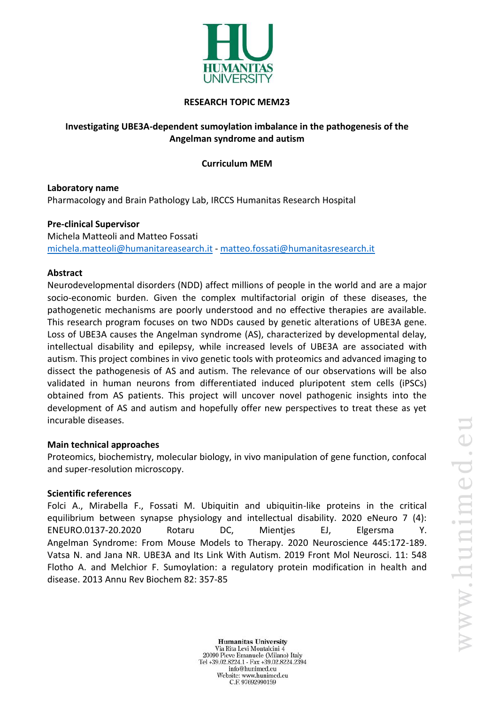

## **RESEARCH TOPIC MEM23**

# **Investigating UBE3A-dependent sumoylation imbalance in the pathogenesis of the Angelman syndrome and autism**

# **Curriculum MEM**

**Laboratory name** Pharmacology and Brain Pathology Lab, IRCCS Humanitas Research Hospital

**Pre-clinical Supervisor** Michela Matteoli and Matteo Fossati [michela.matteoli@humanitareasearch.it](mailto:michela.matteoli@humanitareasearch.eu) - [matteo.fossati@humanitasresearch.it](mailto:matteo.fossati@humanitasresearch.it)

#### **Abstract**

Neurodevelopmental disorders (NDD) affect millions of people in the world and are a major socio-economic burden. Given the complex multifactorial origin of these diseases, the pathogenetic mechanisms are poorly understood and no effective therapies are available. This research program focuses on two NDDs caused by genetic alterations of UBE3A gene. Loss of UBE3A causes the Angelman syndrome (AS), characterized by developmental delay, intellectual disability and epilepsy, while increased levels of UBE3A are associated with autism. This project combines in vivo genetic tools with proteomics and advanced imaging to dissect the pathogenesis of AS and autism. The relevance of our observations will be also validated in human neurons from differentiated induced pluripotent stem cells (iPSCs) obtained from AS patients. This project will uncover novel pathogenic insights into the development of AS and autism and hopefully offer new perspectives to treat these as yet incurable diseases.

#### **Main technical approaches**

Proteomics, biochemistry, molecular biology, in vivo manipulation of gene function, confocal and super-resolution microscopy.

## **Scientific references**

Folci A., Mirabella F., Fossati M. Ubiquitin and ubiquitin-like proteins in the critical equilibrium between synapse physiology and intellectual disability. 2020 eNeuro 7 (4): ENEURO.0137-20.2020 Rotaru DC, Mientjes EJ, Elgersma Y. Angelman Syndrome: From Mouse Models to Therapy. 2020 Neuroscience 445:172-189. Vatsa N. and Jana NR. UBE3A and Its Link With Autism. 2019 Front Mol Neurosci. 11: 548 Flotho A. and Melchior F. Sumoylation: a regulatory protein modification in health and disease. 2013 Annu Rev Biochem 82: 357-85

**Humanitas University** Via Rita Levi Montalcini 4 20090 Pieve Emanuele (Milano) Italy Tel +39.02.8224.1 - Fax +39.02.8224.2394 info@hunimed.eu Website: www.hunimed.eu C.F. 97692990159